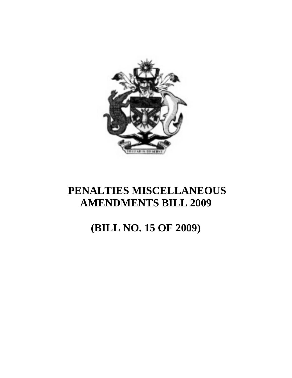

# **(BILL NO. 15 OF 2009)**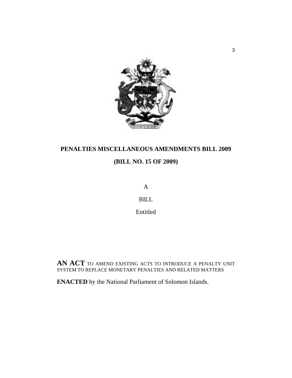

## **(BILL NO. 15 OF 2009)**

A

BILL

Entitled

**AN ACT** TO AMEND EXISTING ACTS TO INTRODUCE A PENALTY UNIT SYSTEM TO REPLACE MONETARY PENALTIES AND RELATED MATTERS

**ENACTED** by the National Parliament of Solomon Islands.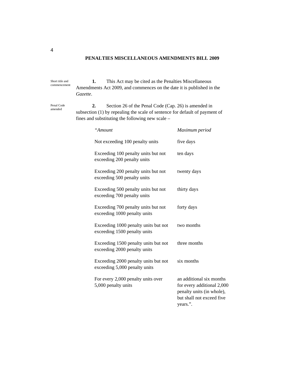**1.** This Act may be cited as the Penalties Miscellaneous Amendments Act 2009, and commences on the date it is published in the *Gazette*. Short title and commencement

Penal Code amended

**2.** Section 26 of the Penal Code (Cap. 26) is amended in subsection (1) by repealing the scale of sentence for default of payment of fines and substituting the following new scale –

| "Amount                                                               | Maximum period                                                                                                               |
|-----------------------------------------------------------------------|------------------------------------------------------------------------------------------------------------------------------|
| Not exceeding 100 penalty units                                       | five days                                                                                                                    |
| Exceeding 100 penalty units but not<br>exceeding 200 penalty units    | ten days                                                                                                                     |
| Exceeding 200 penalty units but not<br>exceeding 500 penalty units    | twenty days                                                                                                                  |
| Exceeding 500 penalty units but not<br>exceeding 700 penalty units    | thirty days                                                                                                                  |
| Exceeding 700 penalty units but not<br>exceeding 1000 penalty units   | forty days                                                                                                                   |
| Exceeding 1000 penalty units but not<br>exceeding 1500 penalty units  | two months                                                                                                                   |
| Exceeding 1500 penalty units but not<br>exceeding 2000 penalty units  | three months                                                                                                                 |
| Exceeding 2000 penalty units but not<br>exceeding 5,000 penalty units | six months                                                                                                                   |
| For every 2,000 penalty units over<br>5,000 penalty units             | an additional six months<br>for every additional 2,000<br>penalty units (in whole),<br>but shall not exceed five<br>years.". |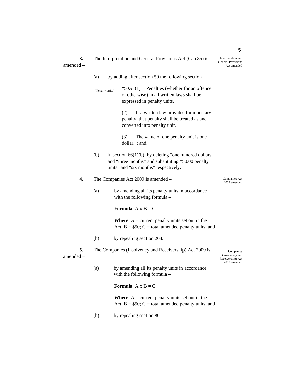|             | The Interpretation and General Provisions Act (Cap.85) is |
|-------------|-----------------------------------------------------------|
| $amended -$ |                                                           |

|                   | (a)             | by adding after section 50 the following section –                                                                                                       |                                                                   |
|-------------------|-----------------|----------------------------------------------------------------------------------------------------------------------------------------------------------|-------------------------------------------------------------------|
|                   | "Penalty units" | "50A. $(1)$<br>Penalties (whether for an offence<br>or otherwise) in all written laws shall be<br>expressed in penalty units.                            |                                                                   |
|                   |                 | (2)<br>If a written law provides for monetary<br>penalty, that penalty shall be treated as and<br>converted into penalty unit.                           |                                                                   |
|                   |                 | The value of one penalty unit is one<br>(3)<br>dollar."; and                                                                                             |                                                                   |
|                   | (b)             | in section $66(1)(b)$ , by deleting "one hundred dollars"<br>and "three months" and substituting "5,000 penalty<br>units" and "six months" respectively. |                                                                   |
| 4.                |                 | The Companies Act 2009 is amended -                                                                                                                      | Companies Act<br>2009 amended                                     |
|                   | (a)             | by amending all its penalty units in accordance<br>with the following formula -                                                                          |                                                                   |
|                   |                 | <b>Formula:</b> $A \times B = C$                                                                                                                         |                                                                   |
|                   |                 | <b>Where:</b> $A =$ current penalty units set out in the<br>Act; $B = $50$ ; $C =$ total amended penalty units; and                                      |                                                                   |
|                   | (b)             | by repealing section 208.                                                                                                                                |                                                                   |
| 5.<br>amended $-$ |                 | The Companies (Insolvency and Receivership) Act 2009 is                                                                                                  | Companies<br>(Insolvency and<br>Receivership) Act<br>2009 amended |
|                   | (a)             | by amending all its penalty units in accordance<br>with the following formula -                                                                          |                                                                   |
|                   |                 | <b>Formula:</b> $A \times B = C$                                                                                                                         |                                                                   |
|                   |                 | <b>Where:</b> $A =$ current penalty units set out in the<br>Act; $B = $50$ ; $C =$ total amended penalty units; and                                      |                                                                   |

(b) by repealing section 80.

Interpretation and General Provisions Act amended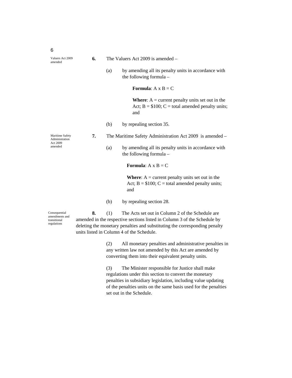- **6.** The Valuers Act 2009 is amended
	- (a) by amending all its penalty units in accordance with the following formula –

**Formula**:  $A \times B = C$ 

**Where:**  $A =$  current penalty units set out in the Act;  $B = $100$ ;  $C =$  total amended penalty units; and

(b) by repealing section 35.

Maritime Safety Administration Act 2009 amended

- **7.** The Maritime Safety Administration Act 2009 is amended
	- (a) by amending all its penalty units in accordance with the following formula –

**Formula:**  $A \times B = C$ 

**Where:**  $A =$  current penalty units set out in the Act;  $B = $100$ ;  $C =$  total amended penalty units; and

(b) by repealing section 28.

Consequential amendments and transitional regulations

**8.** (1) The Acts set out in Column 2 of the Schedule are amended in the respective sections listed in Column 3 of the Schedule by deleting the monetary penalties and substituting the corresponding penalty units listed in Column 4 of the Schedule.

> (2) All monetary penalties and administrative penalties in any written law not amended by this Act are amended by converting them into their equivalent penalty units.

(3) The Minister responsible for Justice shall make regulations under this section to convert the monetary penalties in subsidiary legislation, including value updating of the penalties units on the same basis used for the penalties set out in the Schedule.

6

Valuers Act 2009 amended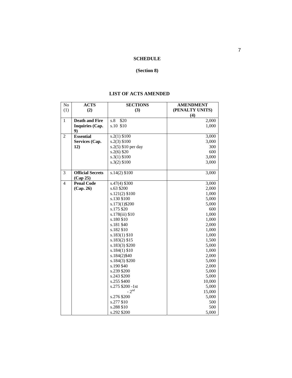#### **SCHEDULE**

### **(Section 8)**

#### **LIST OF ACTS AMENDED**

| No             | <b>ACTS</b>             | <b>SECTIONS</b>     | <b>AMENDMENT</b> |
|----------------|-------------------------|---------------------|------------------|
| (1)            | (2)                     | (3)                 | (PENALTY UNITS)  |
|                |                         |                     | (4)              |
| $\mathbf{1}$   | <b>Death and Fire</b>   | s.8<br>\$20         | 2,000            |
|                | <b>Inquiries (Cap.</b>  | s.10 \$10           | 1,000            |
|                | 9)                      |                     |                  |
| $\overline{c}$ | <b>Essential</b>        | $s.2(1)$ \$100      | 3,000            |
|                | Services (Cap.          | $s.2(3)$ \$100      | 3,000            |
|                | 12)                     | s.2(5) \$10 per day | 300              |
|                |                         | $s.2(6)$ \$20       | 600              |
|                |                         | $s.3(1)$ \$100      | 3,000            |
|                |                         | $s.3(2)$ \$100      | 3,000            |
|                |                         |                     |                  |
| 3              | <b>Official Secrets</b> | $s.14(2)$ \$100     | 3,000            |
|                | (Cap 25)                |                     |                  |
| $\overline{4}$ | <b>Penal Code</b>       | $s.47(4)$ \$300     | 3,000            |
|                | (Cap. 26)               | s.63 \$200          | 2,000            |
|                |                         | $s.121(2)$ \$100    | 1,000            |
|                |                         | s.130 \$100         | 5,000            |
|                |                         | s.173(1)\$200       | 5,000            |
|                |                         | s.175 \$20          | 600              |
|                |                         | s.178(iii) \$10     | 1,000            |
|                |                         | s.180 \$10          | 1,000            |
|                |                         | s.181 \$40          | 2,000            |
|                |                         | s.182 \$10          | 1,000            |
|                |                         | $s.183(1)$ \$10     | 1,000            |
|                |                         | $s.183(2)$ \$15     | 1,500            |
|                |                         | $s.183(3)$ \$200    | 5,000            |
|                |                         | $s.184(1)\$ \$10    | 1,000            |
|                |                         | s.184(2)\$40        | 2,000            |
|                |                         | $s.184(3)$ \$200    | 5,000            |
|                |                         | s.190 \$40          | 2,000            |
|                |                         | s.239 \$200         | 5,000            |
|                |                         | s.243 \$200         | 5,000            |
|                |                         | s.255 \$400         | 10,000           |
|                |                         | s.275 \$200 -1st    | 5,000            |
|                |                         | $-2nd$              | 15,000           |
|                |                         | s.276 \$200         | 5,000            |
|                |                         | s.277 \$10          | 500              |
|                |                         | s.288 \$10          | 500              |
|                |                         | s.292 \$200         | 5,000            |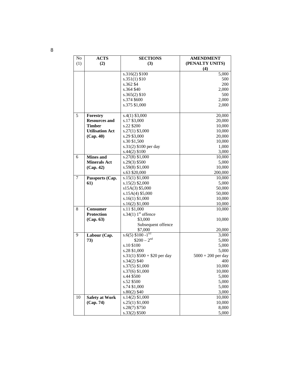| No  | <b>ACTS</b>            | <b>SECTIONS</b>                        | <b>AMENDMENT</b>     |
|-----|------------------------|----------------------------------------|----------------------|
| (1) | (2)                    | (3)                                    | (PENALTY UNITS)      |
|     |                        |                                        | (4)                  |
|     |                        | $s.316(2)$ $\overline{$100}$           | 5,000                |
|     |                        | $s.351(1)\$ \$10                       | 500                  |
|     |                        | s.362 \$4                              | 200                  |
|     |                        | s.364 \$40                             | 2,000                |
|     |                        | $s.365(2)$ \$10                        | 500                  |
|     |                        | s.374 \$600                            | 2,000                |
|     |                        | s.375 \$1,000                          | 2,000                |
|     |                        |                                        |                      |
| 5   | Forestry               | $s.4(1)$ \$3,000                       | 20,000               |
|     | <b>Resources and</b>   | s.17 \$3,000                           | 20,000               |
|     | <b>Timber</b>          | s.22 \$200                             | 10,000               |
|     | <b>Utilisation Act</b> | $s.27(1)$ \$3,000                      | 10,000               |
|     | (Cap. 40)              | s.29 \$3,000                           | 20,000               |
|     |                        | s.30 \$1,500                           | 10,000               |
|     |                        | s.31(2) \$100 per day                  | 1,000                |
|     |                        | $s.44(2)$ \$100                        | 3,000                |
| 6   | <b>Mines</b> and       | s.27(8) \$1,000                        | 10,000               |
|     | <b>Minerals Act</b>    | $s.29(3)$ \$500                        | 5,000                |
|     | (Cap. 42)              | s.59(8) \$1,000                        | 10,000               |
|     |                        | s.63 \$20,000                          | 200,000              |
| 7   | Passports (Cap.        | $s.15(1)$ \$1,000                      | 10,000               |
|     | 61)                    | s.15(2) \$2,000                        | 5,000                |
|     |                        | s15A(3) \$5,000                        | 50,000               |
|     |                        | $s.15A(4)$ \$5,000                     | 50,000               |
|     |                        | $s.16(1)$ \$1,000                      | 10,000               |
|     |                        | $s.16(2)$ \$1,000                      | 10,000               |
| 8   | <b>Consumer</b>        | s.11 \$1,000                           | 10,000               |
|     | <b>Protection</b>      | s.34(1) $1st$ offence                  |                      |
|     | (Cap. 63)              | \$3,000                                | 10,000               |
|     |                        | Subsequent offence                     |                      |
|     |                        | \$7,000                                | 20,000               |
| 9   | Labour (Cap.           | s.6(5) $$100 - 1^{ST}$                 | 3,000                |
|     | 73)                    | $$200 - 2nd$                           | 5,000                |
|     |                        | s.10 \$100                             | 5,000                |
|     |                        | s.28 \$1,000                           | 5,000                |
|     |                        | $s.31(1)$ \$500 + \$20 per day         | $5000 + 200$ per day |
|     |                        | s.34(2) \$40                           | 400                  |
|     |                        | s.37(5) \$1,000                        | 10,000               |
|     |                        | s.37(6) \$1,000                        | 10,000               |
|     |                        | s.44 \$500                             | 5,000                |
|     |                        | s.52 \$500                             | 5,000                |
|     |                        | s.74 \$1,000                           | 5,000                |
|     |                        | $s.80(2)$ \$40                         | 3,000                |
|     |                        |                                        |                      |
| 10  | <b>Safety at Work</b>  | $s.14(2)$ \$1,000<br>$s.25(1)$ \$1,000 | 10,000<br>10,000     |
|     | (Cap. 74)              |                                        |                      |
|     |                        | $s.28(7)$ \$750                        | 8,000                |
|     |                        | s.33(2) \$500                          | 5,000                |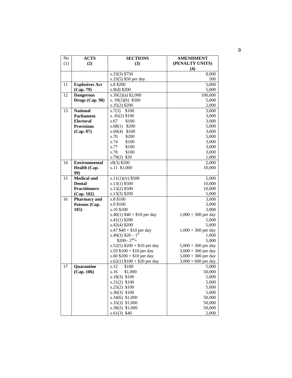| No  | <b>ACTS</b>           | <b>SECTIONS</b>                | <b>AMENDMENT</b>      |
|-----|-----------------------|--------------------------------|-----------------------|
| (1) | (2)                   | (3)                            | (PENALTY UNITS)       |
|     |                       |                                | (4)                   |
|     |                       | s.33(3) \$750                  | 8,000                 |
|     |                       | s.33(5) \$50 per day           | 500                   |
| 11  | <b>Explosives Act</b> | s.8 \$200                      | 5,000                 |
|     | (Cap. 79)             | $s.9(d)$ \$200                 | 5,000                 |
| 12  | <b>Dangerous</b>      | $s.39(2)(a)$ \$2,000           | 100,000               |
|     | Drugs (Cap. 98)       | s. $39(2)(b)$ \$500            | 5,000                 |
|     |                       | s.35(2) \$200                  | 2,000                 |
| 13  | <b>National</b>       | s.7(3)<br>\$100                | 3,000                 |
|     | <b>Parliament</b>     | s. $45(2)$ \$100               | 3,000                 |
|     | <b>Electoral</b>      | s.67<br>\$100                  | 3,000                 |
|     | <b>Provisions</b>     | s.68(1)<br>\$200               | 5,000                 |
|     | (Cap. 87)             | s.69(4)<br>\$100               | 3,000                 |
|     |                       | s.70<br>\$200                  | 5,000                 |
|     |                       | s.74<br>\$100                  | 3,000                 |
|     |                       | s.77<br>\$100                  | 3,000                 |
|     |                       | s.78<br>\$100                  | 3,000                 |
|     |                       | $s.79(2)$ \$20                 | 1,000                 |
| 14  | <b>Environmental</b>  | s9(3) \$200                    | 2,000                 |
|     | Health (Cap.          | s.11 \$1,000                   | 10,000                |
|     | 99)                   |                                |                       |
| 15  | <b>Medical and</b>    | $s.11(1)(iv)$ \$500            | 5,000                 |
|     | <b>Dental</b>         | $s.13(1)$ \$500                | 10,000                |
|     | <b>Practitioners</b>  | s.13(2) \$500                  | 10,000                |
|     | (Cap. 102)            | $s.13(3)$ \$200                | 5,000                 |
| 16  | Pharmacy and          | s.8 \$100                      | 3,000                 |
|     | Poisons (Cap.         | s.9 \$100                      | 3,000                 |
|     | 105)                  | s.10 \$100                     | 3,000                 |
|     |                       | $s.40(1)$ \$40 + \$10 per day  | $1,000 + 300$ per day |
|     |                       | $s.41(1)$ \$200                | 5,000                 |
|     |                       | $s.42(4)$ \$200                | 5,000                 |
|     |                       | s.47 $$40 + $10$ per day       | $1,000 + 300$ per day |
|     |                       | s.49(3) $$20-1st$              | 1,000                 |
|     |                       | $$200-2nd$ +                   | 5,000                 |
|     |                       | s.52(5) $$200 + $10$ per day   | $5,000 + 300$ per day |
|     |                       | s.59 $$100 + $10$ per day      | $3,000 + 300$ per day |
|     |                       | s.60 $$200 + $10$ per day      | $5,000 + 300$ per day |
|     |                       | $s.62(1)$ \$100 + \$20 per day | $3,000 + 600$ per day |
| 17  | Quarantine            | \$100<br>s.12                  | 5,000                 |
|     | (Cap. 106)            | s.16<br>\$1,000                | 50,000                |
|     |                       | \$100<br>s.18(3)               | 5,000                 |
|     |                       | s.21(2)<br>\$100               | 5,000                 |
|     |                       | s.25(2)<br>\$100               | 5,000                 |
|     |                       | s.30(3)<br>\$100               | 5,000                 |
|     |                       | s.34(6) \$1,000                | 50,000                |
|     |                       | s.35(3) \$1,000                | 50,000                |
|     |                       | s.38(2)<br>\$1,000             | 50,000                |
|     |                       | $s.61(3)$ \$40                 | 2,000                 |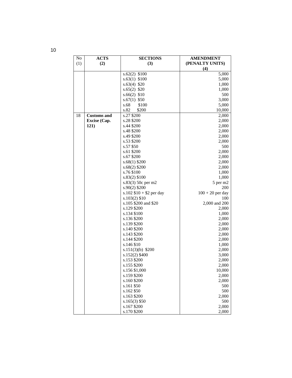| No  | <b>ACTS</b>        | <b>SECTIONS</b>          | <b>AMENDMENT</b>   |
|-----|--------------------|--------------------------|--------------------|
| (1) | (2)                | (3)                      | (PENALTY UNITS)    |
|     |                    |                          | (4)                |
|     |                    | $s.62(2)$ \$100          | 5,000              |
|     |                    | $s.63(1)$ \$100          | 5,000              |
|     |                    | $s.63(4)$ \$20           | 1,000              |
|     |                    | $s.65(2)$ \$20           | 1,000              |
|     |                    | $s.66(2)$ \$10           | 500                |
|     |                    | $s.67(1)$ \$50           | 3,000              |
|     |                    | \$100<br>s.68            | 5,000              |
|     |                    | s.82<br>\$200            | 10,000             |
| 18  | <b>Customs and</b> | s.27 \$200               | 2,000              |
|     |                    | s.28 \$200               |                    |
|     | Excise (Cap.       |                          | 2,000              |
|     | 121)               | s.44 \$200               | 2,000              |
|     |                    | s.48 \$200               | 2,000              |
|     |                    | s.49 \$200               | 2,000              |
|     |                    | s.53 \$200               | 2,000              |
|     |                    | s.57 \$50                | 500                |
|     |                    | s.61 \$200               | 2,000              |
|     |                    | s.67 \$200               | 2,000              |
|     |                    | $s.68(1)$ \$200          | 2,000              |
|     |                    | $s.68(2)$ \$200          | 2,000              |
|     |                    | s.76 \$100               | 1,000              |
|     |                    | $s.83(2)$ \$100          | 1,000              |
|     |                    | s.83(3) 50c per m2       | 5 per m2           |
|     |                    | $s.90(2)$ \$200          | 200                |
|     |                    | s.102 $$10 + $2$ per day | $100 + 20$ per day |
|     |                    | $s.103(2)$ \$10          | 100                |
|     |                    | s.105 \$200 and \$20     | 2,000 and 200      |
|     |                    | s.129 \$200              | 2,000              |
|     |                    | s.134 \$100              | 1,000              |
|     |                    | s.136 \$200              | 2,000              |
|     |                    | s.139 \$200              | 2,000              |
|     |                    | s.140 \$200              | 2,000              |
|     |                    | s.143 \$200              | 2,000              |
|     |                    | s.144 \$200              | 2,000              |
|     |                    | s.146 \$10               | 1,000              |
|     |                    | $s.151(3)(b)$ \$200      | 2,000              |
|     |                    | $s.152(2)$ \$400         | 3,000              |
|     |                    | s.153 \$200              | 2,000              |
|     |                    | s.155 \$200              | 2,000              |
|     |                    | s.156 \$1,000            | 10,000             |
|     |                    | s.159 \$200              | 2,000              |
|     |                    | s.160 \$200              | 2,000              |
|     |                    | s.161 \$50               | 500                |
|     |                    | s.162 \$50               | 500                |
|     |                    | s.163 \$200              | 2,000              |
|     |                    | $s.165(3)$ \$50          | 500                |
|     |                    | s.167 \$200              | 2,000              |
|     |                    | s.170 \$200              | 2,000              |
|     |                    |                          |                    |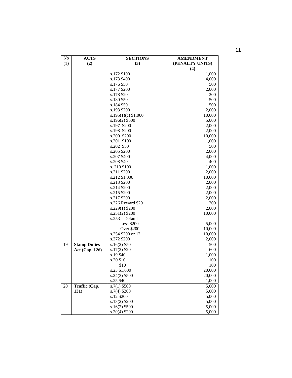| No  | <b>ACTS</b>           | <b>SECTIONS</b>       | <b>AMENDMENT</b> |
|-----|-----------------------|-----------------------|------------------|
| (1) | (2)                   | (3)                   | (PENALTY UNITS)  |
|     |                       |                       | (4)              |
|     |                       | s.172 \$100           | 1,000            |
|     |                       | s.173 \$400           | 4,000            |
|     |                       | s.176 \$50            | 500              |
|     |                       | s.177 \$200           | 2,000            |
|     |                       | s.178 \$20            | 200              |
|     |                       | s.180 \$50            | 500              |
|     |                       | s.184 \$50            | 500              |
|     |                       | s.193 \$200           | 2,000            |
|     |                       | $s.195(1)(c)$ \$1,000 | 10,000           |
|     |                       | s.196(2) \$500        | 5,000            |
|     |                       | s.197 \$200           | 2,000            |
|     |                       | s.198 \$200           | 2,000            |
|     |                       | s.200 \$200           | 10,000           |
|     |                       | s.201 \$100           | 1,000            |
|     |                       | s.202 \$50            | 500              |
|     |                       | s.205 \$200           | 2,000            |
|     |                       | s.207 \$400           | 4,000            |
|     |                       | s.208 \$40            | 400              |
|     |                       | s. 210 \$100          | 1,000            |
|     |                       | s.211 \$200           | 2,000            |
|     |                       | s.212 \$1,000         | 10,000           |
|     |                       | s.213 \$200           | 2,000            |
|     |                       | s.214 \$200           | 2,000            |
|     |                       | s.215 \$200           | 2,000            |
|     |                       | s.217 \$200           | 2,000            |
|     |                       | s.226 Reward \$20     | 200              |
|     |                       | s.229(1) \$200        | 2,000            |
|     |                       | $s.251(2)$ \$200      | 10,000           |
|     |                       | $s.253 - Default -$   |                  |
|     |                       | Less \$200-           | 5,000            |
|     |                       | Over \$200-           | 10,000           |
|     |                       | s.254 \$200 or 12     | 10,000           |
|     |                       | s.272 \$200           | 2,000            |
| 19  | <b>Stamp Duties</b>   | $s.16(2)$ \$50        | 500              |
|     | <b>Act (Cap. 126)</b> | $s.17(2)$ \$20        | 600              |
|     |                       | s.19 \$40             | 1,000            |
|     |                       | s.20\$10              | 100              |
|     |                       | \$10                  | 100              |
|     |                       | s.23 \$1,000          | 20,000           |
|     |                       | $s.24(3)$ \$500       | 20,000           |
|     |                       | s.25 \$40             | 1,000            |
| 20  | Traffic (Cap.         | $s.7(1)$ \$500        | 5,000            |
|     | 131)                  | $s.7(4)$ \$200        | 5,000            |
|     |                       | s.12 \$200            | 5,000            |
|     |                       | s.13(2) \$200         | 5,000            |
|     |                       | $s.16(2)$ \$500       | 5,000            |
|     |                       | s.20(4) \$200         | 5,000            |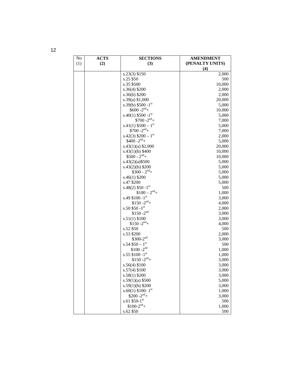| No  | <b>ACTS</b> | <b>SECTIONS</b>                       | <b>AMENDMENT</b> |
|-----|-------------|---------------------------------------|------------------|
| (1) | (2)         | (3)                                   | (PENALTY UNITS)  |
|     |             |                                       | (4)              |
|     |             | s.23(3) \$150                         | 2,000            |
|     |             | s.25 \$50                             | 500              |
|     |             | s.35 \$500                            | 10,000           |
|     |             | $s.36(4)$ \$200                       | 2,000            |
|     |             | $s.36(6)$ \$200                       | 2,000            |
|     |             | s.39(a) \$1,000                       | 20,000           |
|     |             | s.39(b) $$500 -1$ <sup>st</sup>       | 5,000            |
|     |             | $$600 - 2nd +$                        | 10,000           |
|     |             | s.40(1) $$500 -1$ <sup>st</sup>       | 5,000            |
|     |             | $$700 - 2nd +$                        | 7,000            |
|     |             | s.41(1) $$500 - 1$ <sup>st</sup>      | 5,000            |
|     |             | $$700 - 2nd +$                        | 7,000            |
|     |             | s.42(3) $$200 - 1st$                  | 2,000            |
|     |             | $$400 - 2nd +$                        | 5,000            |
|     |             | $s.43(1)(a)$ \$2,000                  | 20,000           |
|     |             | $s.43(1)(b)$ \$400                    | 10,000           |
|     |             | $$500 - 2nd +$                        | 10,000           |
|     |             | $s.43(2)(a)$ \$500                    | 5,000            |
|     |             | $s.43(2)(b)$ \$200                    | 5,000            |
|     |             | $$300 - 2nd +$                        | 5,000            |
|     |             | $s.46(1)$ \$200                       | 5,000            |
|     |             | s.47 \$200                            | 5,000            |
|     |             | s.48(2) $$50-1st$                     | 500              |
|     |             | $$100 - 2nd$ +                        | 1,000            |
|     |             | s.49 \$100 -1st                       | 3,000            |
|     |             | $$150 - 2nd +$                        | 4,000            |
|     |             | s.50 $$50-1$ st                       | 2,000            |
|     |             | $$150 - 2nd$                          | 3,000            |
|     |             | $s.51(1)$ \$100                       | 3,000            |
|     |             | $$150 - 2nd +$                        | 4,000            |
|     |             | s.52 \$50                             | 500              |
|     |             | s.53 \$200                            | 2,000            |
|     |             | $$300-2nd$                            | 3,000            |
|     |             | $s.54$ \$50 - $1^{st}$                | 500              |
|     |             | $$100 - 2nd$                          | 1,000            |
|     |             | s.55 $$100 - 1st$<br>$$150 - 2nd +$   | 1,000            |
|     |             |                                       | 3,000            |
|     |             | $s.56(4)$ \$100                       | 3,000            |
|     |             | s.57(4) \$100                         | 3,000            |
|     |             | $s.58(1)$ \$200<br>$s.59(1)(a)$ \$500 | 3,000<br>5,000   |
|     |             | $s.59(1)(b)$ \$200                    | 3,000            |
|     |             | $s.60(1)$ \$100-1 <sup>st</sup>       | 1,000            |
|     |             | $$200 - 2nd +$                        | 3,000            |
|     |             | $s.61$ \$50-1st                       | 500              |
|     |             | $$100-2nd$ +                          | 1,000            |
|     |             | s.62 \$50                             | 500              |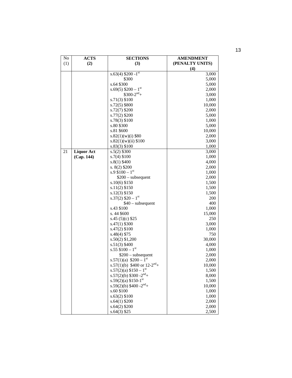| No  | <b>ACTS</b>       | <b>SECTIONS</b>                      | <b>AMENDMENT</b> |
|-----|-------------------|--------------------------------------|------------------|
| (1) | (2)               | (3)                                  | (PENALTY UNITS)  |
|     |                   |                                      | $\left(4\right)$ |
|     |                   | s.63(4) $\sqrt{200-1}$ <sup>st</sup> | 3,000            |
|     |                   | \$300                                | 5,000            |
|     |                   | s.64 \$300                           | 5,000            |
|     |                   | $s.69(5)$ \$200 – 1 <sup>st</sup>    | 2,000            |
|     |                   | $$300-2nd +$                         | 3,000            |
|     |                   | $s.71(3)$ \$100                      | 1,000            |
|     |                   | $s.72(5)$ \$800                      | 10,000           |
|     |                   | s.72(7) \$200                        | 2,000            |
|     |                   | s.77(2) \$200                        | 5,000            |
|     |                   | s.78(3) \$100                        | 1,000            |
|     |                   | s.80 \$300                           | 5,000            |
|     |                   | s.81 \$600                           | 10,000           |
|     |                   | $s.82(1)(w)(i)$ \$80                 | 2,000            |
|     |                   | s.82(1)(w)(ii) \$100                 | 3,000            |
|     |                   | s.83(3) \$100                        | 1,000            |
| 21  | <b>Liquor Act</b> | $s.5(2)$ \$300                       | 3,000            |
|     | (Cap. 144)        | $s.7(4)$ \$100                       | 1,000            |
|     |                   | $s.8(1)$ \$400                       | 4,000            |
|     |                   | s. $8(2)$ \$200                      | 2,000            |
|     |                   | s.9 $$100 - 1st$                     | 1,000            |
|     |                   | $$200$ – subsequent                  | 2,000            |
|     |                   | s.10(6) \$150                        | 1,500            |
|     |                   | $s.11(2)$ \$150                      | 1,500            |
|     |                   | $s.12(3)$ \$150                      | 1,500            |
|     |                   | s.37(2) $$20 - 1st$                  | 200              |
|     |                   | $$40$ – subsequent                   | 400              |
|     |                   | s.43 \$100                           | 1,000            |
|     |                   | s. 44 \$600                          | 15,000           |
|     |                   | s.45 $(5)(c)$ \$25                   | 250              |
|     |                   | s.47(1) \$300                        | 3,000            |
|     |                   | $s.47(2)$ \$100                      | 1,000            |
|     |                   | s.48(4) \$75                         | 750              |
|     |                   | $s.50(2)$ \$1,200                    | 30,000           |
|     |                   | $s.51(3)$ \$400                      | 4,000            |
|     |                   | s.55 $$100 - 1st$                    | 1,000            |
|     |                   | $$200$ – subsequent                  | 2,000            |
|     |                   | s.57(1)(a) $$200 - 1st$              | 2,000            |
|     |                   | s.57(1)(b) \$400 or $12-2^{nd}$ +    | 10,000           |
|     |                   | s.57(2)(a) $$150-1st$                | 1,500            |
|     |                   | s.57(2)(b) $$300 - 2nd +$            | 8,000            |
|     |                   | s.59(2)(a) $$150-1st$                | 1,500            |
|     |                   | $s.59(2)(b)$ \$400 - $2nd$ +         | 10,000           |
|     |                   | s.60 \$100                           | 1,000            |
|     |                   | $s.63(2)$ \$100                      | 1,000            |
|     |                   | s.64(1) \$200                        | 2,000            |
|     |                   | $s.64(2)$ \$200                      | 2,000            |
|     |                   | $s.64(3)$ \$25                       | 2,500            |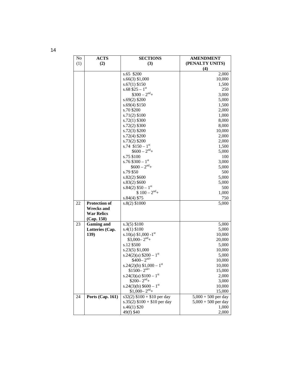| No  | <b>ACTS</b>          | <b>SECTIONS</b>                     | <b>AMENDMENT</b>      |
|-----|----------------------|-------------------------------------|-----------------------|
| (1) | (2)                  | (3)                                 | (PENALTY UNITS)       |
|     |                      |                                     | (4)                   |
|     |                      | s.65 \$200                          | 2,000                 |
|     |                      | $s.66(3)$ \$1,000                   | 10,000                |
|     |                      | $s.67(1)$ \$150                     | 1,500                 |
|     |                      | s.68 $$25 - 1st$                    | 250                   |
|     |                      | $$300 - 2nd$ +                      | 3,000                 |
|     |                      | $s.69(2)$ \$200                     | 5,000                 |
|     |                      | $s.69(4)$ \$150                     | 1,500                 |
|     |                      | s.70 \$200                          | 2,000                 |
|     |                      | $s.71(2)$ \$100                     | 1,000                 |
|     |                      | $s.72(1)$ \$300                     | 8,000                 |
|     |                      | s.72(2) \$300                       | 8,000                 |
|     |                      | $s.72(3)$ \$200                     | 10,000                |
|     |                      | $s.72(4)$ \$200                     | 2,000                 |
|     |                      | s.73(2) \$200                       | 2,000                 |
|     |                      | s.74 $$150 - 1st$                   | 1,500                 |
|     |                      | $$600 - 2nd +$                      | 5,000                 |
|     |                      | s.75 \$100                          | 100                   |
|     |                      | s.76 $$300 - 1st$                   | 3,000                 |
|     |                      | $$600 - 2nd +$                      | 5,000                 |
|     |                      | s.79 \$50                           | 500                   |
|     |                      | $s.82(2)$ \$600                     | 5,000                 |
|     |                      | $s.83(2)$ \$600                     | 5,000                 |
|     |                      | $s.84(2)$ \$50 - 1st                | 500                   |
|     |                      | $$100 - 2nd +$                      | 1,000                 |
|     |                      | s.84(4) \$75                        | 750                   |
| 22  | <b>Protection of</b> | $s.8(2)$ \$1000                     | 5,000                 |
|     | <b>Wrecks and</b>    |                                     |                       |
|     | <b>War Relics</b>    |                                     |                       |
|     | (Cap. 150)           |                                     |                       |
| 23  | <b>Gaming and</b>    | $s.3(5)$ \$100                      | 5,000                 |
|     | Lotteries (Cap.      | $s.4(1)$ \$100                      | 5,000                 |
|     | 139)                 | s.10(a) $$1,000 -1$ <sup>st</sup>   | 10,000                |
|     |                      | $$3,000-2nd$ +                      | 20,000                |
|     |                      | s.12 \$500                          | 5,000                 |
|     |                      | $s.23(5)$ \$1,000                   | 10,000                |
|     |                      | s.24(2)(a) $$200 - 1st$             | 5,000                 |
|     |                      | $$400-2^{nd+}$                      | 10,000                |
|     |                      | s.24(2)(b) $$1,000-1$ <sup>st</sup> | 10,000                |
|     |                      | $$1500 - 2nd+$                      | 15,000                |
|     |                      | s.24(3)(a) $$100 - 1st$             | 2,000                 |
|     |                      | $$200-2nd$ +                        | 3,000                 |
|     |                      | s.24(3)(b) $$600 - 1st$             | 10,000                |
|     |                      | $$1,000-2nd$ +                      | 15,000                |
| 24  | Ports (Cap. 161)     | $s32(2)$ \$100 + \$10 per day       | $5,000 + 500$ per day |
|     |                      | s.35(2) $$100 + $10$ per day        | $5,000 + 500$ per day |
|     |                      | $s.46(1)$ \$20                      | 1,000                 |
|     |                      | 49(f) \$40                          | 2,000                 |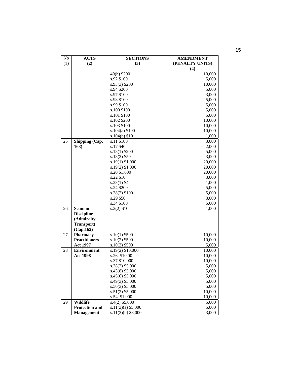| No  | <b>ACTS</b>           | <b>SECTIONS</b>      | <b>AMENDMENT</b> |
|-----|-----------------------|----------------------|------------------|
| (1) | (2)                   | (3)                  | (PENALTY UNITS)  |
|     |                       |                      | (4)              |
|     |                       | 49(h) \$200          | 10,000           |
|     |                       | s.92 \$100           | 5,000            |
|     |                       | $s.93(3)$ \$200      | 10,000           |
|     |                       | s.94 \$200           | 5,000            |
|     |                       | s.97 \$100           | 3,000            |
|     |                       | s.98 \$100           | 5,000            |
|     |                       | s.99 \$100           | 5,000            |
|     |                       | s.100 \$100          | 5,000            |
|     |                       | s.101 \$100          | 5,000            |
|     |                       | s.102 \$200          | 10,000           |
|     |                       | s.103 \$100          | 10,000           |
|     |                       | $s.104(a)$ \$100     | 10,000           |
|     |                       | s.104(b) \$10        | 1,000            |
| 25  | Shipping (Cap.        | s.11 \$100           | 3,000            |
|     | 163)                  | s.17\$40             | 2,000            |
|     |                       | $s.18(1)$ \$200      | 5,000            |
|     |                       | $s.18(2)$ \$50       | 3,000            |
|     |                       | $s.19(1)$ \$1,000    | 20,000           |
|     |                       | $s.19(2)$ \$1,000    | 20,000           |
|     |                       | s.20 \$1,000         | 20,000           |
|     |                       | s.22 \$10            | 3,000            |
|     |                       | $s.23(1)$ \$4        | 1,000            |
|     |                       | s.24 \$200           | 5,000            |
|     |                       | s.28(2) \$100        | 5,000            |
|     |                       | s.29 \$50            | 3,000            |
|     |                       | s.34 \$100           | 5,000            |
| 26  | <b>Seaman</b>         | $s.2(2)$ \$10        | 1,000            |
|     | <b>Discipline</b>     |                      |                  |
|     | (Admiralty            |                      |                  |
|     | Transport)            |                      |                  |
|     | (Cap.162)             |                      |                  |
| 27  | <b>Pharmacy</b>       | $s.10(1)$ \$500      | 10,000           |
|     | <b>Practitioners</b>  | $s.10(2)$ \$500      | 10,000           |
|     | <b>Act 1997</b>       | $s.10(3)$ \$500      | 5,000            |
| 28  | <b>Environment</b>    | s.19(2) \$10,000     | 10,000           |
|     | <b>Act 1998</b>       | s.26 \$10,00         | 10,000           |
|     |                       | s.37 \$10,000        | 10,000           |
|     |                       | s.38(2) \$5,000      | 5,000            |
|     |                       | s.43(8) \$5,000      | 5,000            |
|     |                       | $s.45(6)$ \$5,000    | 5,000            |
|     |                       | s.49(3) \$5,000      | 5,000            |
|     |                       | $s.50(3)$ \$5,000    | 5,000            |
|     |                       | $s.51(2)$ \$5,000    | 10,000           |
|     |                       | s.54 \$1,000         | 10,000           |
| 29  | Wildlife              | $s.4(2)$ \$5,000     | 5,000            |
|     | <b>Protection and</b> | $s.11(3)(a)$ \$5,000 | 5,000            |
|     | <b>Management</b>     | $s.11(3)(b)$ \$3,000 | 3,000            |
|     |                       |                      |                  |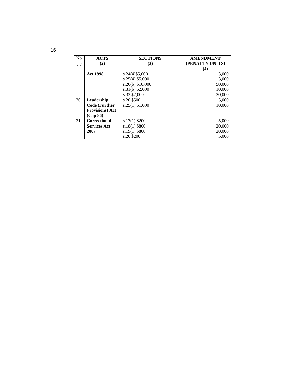| N <sub>o</sub> | <b>ACTS</b>             | <b>SECTIONS</b>    | <b>AMENDMENT</b> |
|----------------|-------------------------|--------------------|------------------|
| (1)            | (2)                     | (3)                | (PENALTY UNITS)  |
|                |                         |                    | (4)              |
|                | <b>Act 1998</b>         | $s.24(4)\$5,000$   | 3,000            |
|                |                         | $s.25(4)$ \$5,000  | 3,000            |
|                |                         | $s.26(b)$ \$10,000 | 50,000           |
|                |                         | $s.31(b)$ \$2,000  | 10,000           |
|                |                         | s.33 \$2,000       | 20,000           |
| 30             | Leadership              | s.20 \$500         | 5,000            |
|                | <b>Code (Further</b>    | $s.25(1)$ \$1,000  | 10,000           |
|                | <b>Provisions</b> ) Act |                    |                  |
|                | (Cap 86)                |                    |                  |
| 31             | <b>Correctional</b>     | $s.17(1)$ \$200    | 5,000            |
|                | <b>Services Act</b>     | $s.18(1)$ \$800    | 20,000           |
|                | 2007                    | $s.19(1)$ \$800    | 20,000           |
|                |                         | s.20 \$200         | 5.000            |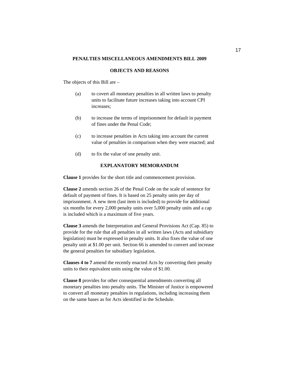#### **OBJECTS AND REASONS**

The objects of this Bill are –

- (a) to covert all monetary penalties in all written laws to penalty units to facilitate future increases taking into account CPI increases;
- (b) to increase the terms of imprisonment for default in payment of fines under the Penal Code;
- (c) to increase penalties in Acts taking into account the current value of penalties in comparison when they were enacted; and
- (d) to fix the value of one penalty unit.

#### **EXPLANATORY MEMORANDUM**

**Clause 1** provides for the short title and commencement provision.

**Clause 2** amends section 26 of the Penal Code on the scale of sentence for default of payment of fines. It is based on 25 penalty units per day of imprisonment. A new item (last item is included) to provide for additional six months for every 2,000 penalty units over 5,000 penalty units and a cap is included which is a maximum of five years.

**Clause 3** amends the Interpretation and General Provisions Act (Cap. 85) to provide for the rule that all penalties in all written laws (Acts and subsidiary legislation) must be expressed in penalty units. It also fixes the value of one penalty unit at \$1.00 per unit. Section 66 is amended to convert and increase the general penalties for subsidiary legislation.

**Clauses 4 to 7** amend the recently enacted Acts by converting their penalty units to their equivalent units using the value of \$1.00.

**Clause 8** provides for other consequential amendments converting all monetary penalties into penalty units. The Minister of Justice is empowered to convert all monetary penalties in regulations, including increasing them on the same bases as for Acts identified in the Schedule.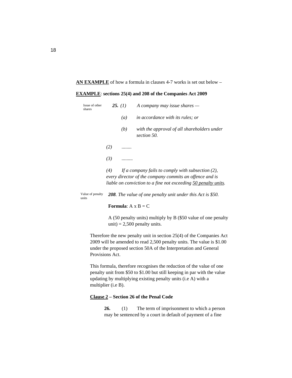#### **AN EXAMPLE** of how a formula in clauses 4-7 works is set out below –

#### **EXAMPLE**: **sections 25(4) and 208 of the Companies Act 2009**

| Issue of other<br>shares  |                                  | 25. $(1)$ | A company may issue shares $-$                                                                                                                                                    |  |  |
|---------------------------|----------------------------------|-----------|-----------------------------------------------------------------------------------------------------------------------------------------------------------------------------------|--|--|
|                           |                                  | (a)       | <i>in accordance with its rules; or</i>                                                                                                                                           |  |  |
|                           |                                  | (b)       | with the approval of all shareholders under<br>section 50.                                                                                                                        |  |  |
|                           | (2)                              |           |                                                                                                                                                                                   |  |  |
|                           | (3)                              |           |                                                                                                                                                                                   |  |  |
|                           | (4)                              |           | If a company fails to comply with subsection $(2)$ ,<br>every director of the company commits an offence and is<br>liable on conviction to a fine not exceeding 50 penalty units. |  |  |
| Value of penalty<br>units |                                  |           | 208. The value of one penalty unit under this Act is \$50.                                                                                                                        |  |  |
|                           | <b>Formula:</b> $A \times B = C$ |           |                                                                                                                                                                                   |  |  |

A (50 penalty units) multiply by B (\$50 value of one penalty unit) =  $2,500$  penalty units.

Therefore the new penalty unit in section 25(4) of the Companies Act 2009 will be amended to read 2,500 penalty units. The value is \$1.00 under the proposed section 50A of the Interpretation and General Provisions Act.

This formula, therefore recognises the reduction of the value of one penalty unit from \$50 to \$1.00 but still keeping in par with the value updating by multiplying existing penalty units (i.e A) with a multiplier (i.e B).

#### **Clause 2 – Section 26 of the Penal Code**

**26.** (1) The term of imprisonment to which a person may be sentenced by a court in default of payment of a fine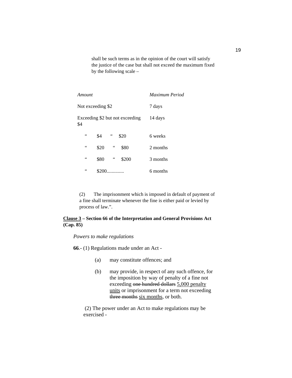shall be such terms as in the opinion of the court will satisfy the justice of the case but shall not exceed the maximum fixed by the following scale –

| Amount          |                   | Maximum Period |                                 |          |
|-----------------|-------------------|----------------|---------------------------------|----------|
|                 | Not exceeding \$2 | 7 days         |                                 |          |
| \$4             |                   |                | Exceeding \$2 but not exceeding | 14 days  |
| $\zeta$ $\zeta$ | \$4               | $\leq$         | \$20                            | 6 weeks  |
| 66              | \$20              | 66             | \$80                            | 2 months |
| 66              | \$80              | 66             | \$200                           | 3 months |
| 66              | \$200             | .              |                                 | 6 months |

(2) The imprisonment which is imposed in default of payment of a fine shall terminate whenever the fine is either paid or levied by process of law.".

#### **Clause 3 – Section 66 of the Interpretation and General Provisions Act (Cap. 85)**

*Powers to make regulations* 

**66**.- (1) Regulations made under an Act -

- (a) may constitute offences; and
- (b) may provide, in respect of any such offence, for the imposition by way of penalty of a fine not exceeding one hundred dollars 5,000 penalty units or imprisonment for a term not exceeding three months six months, or both.

 (2) The power under an Act to make regulations may be exercised -